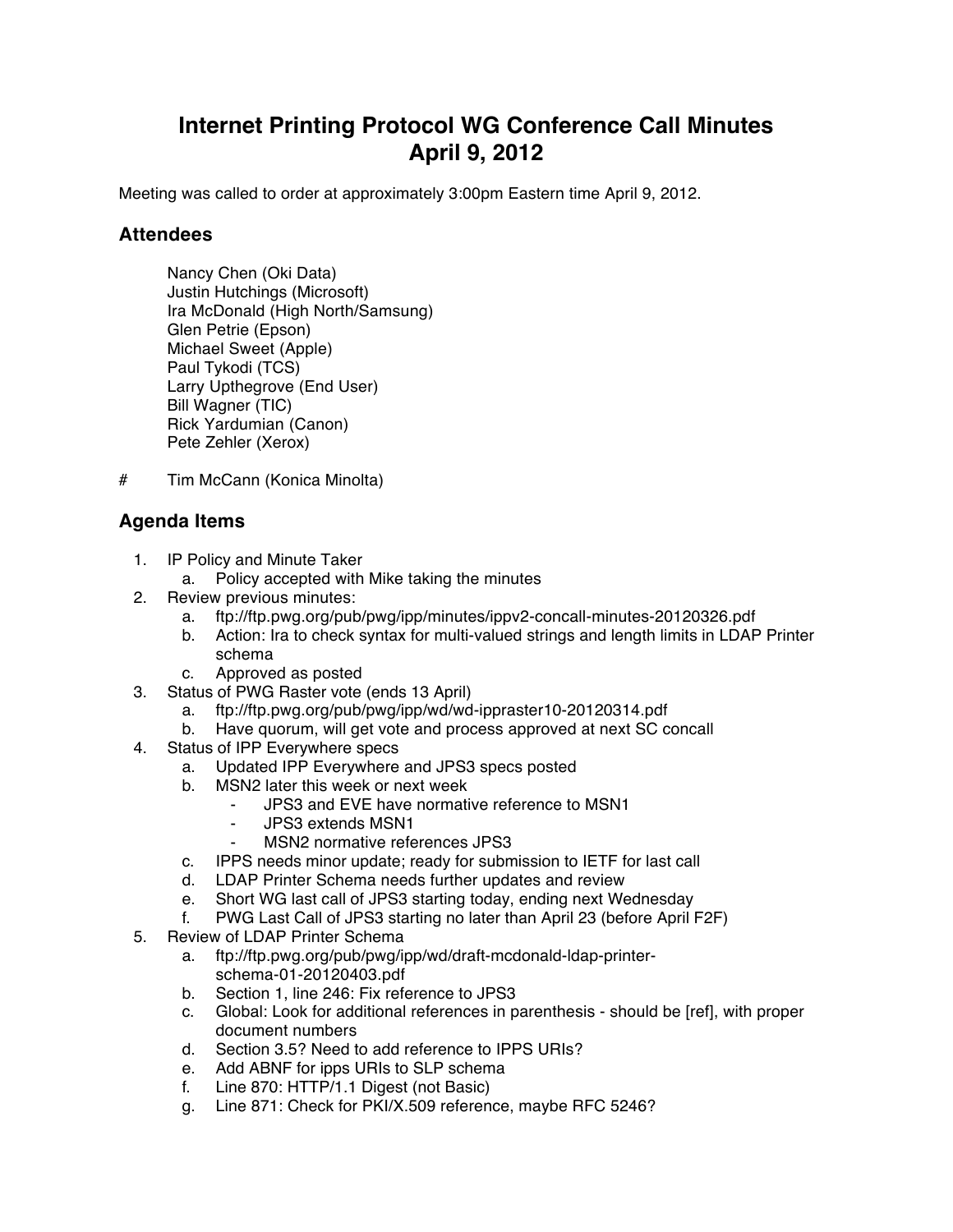## **Internet Printing Protocol WG Conference Call Minutes April 9, 2012**

Meeting was called to order at approximately 3:00pm Eastern time April 9, 2012.

## **Attendees**

Nancy Chen (Oki Data) Justin Hutchings (Microsoft) Ira McDonald (High North/Samsung) Glen Petrie (Epson) Michael Sweet (Apple) Paul Tykodi (TCS) Larry Upthegrove (End User) Bill Wagner (TIC) Rick Yardumian (Canon) Pete Zehler (Xerox)

# Tim McCann (Konica Minolta)

## **Agenda Items**

- 1. IP Policy and Minute Taker
	- a. Policy accepted with Mike taking the minutes
- 2. Review previous minutes:
	- a. ftp://ftp.pwg.org/pub/pwg/ipp/minutes/ippv2-concall-minutes-20120326.pdf
	- b. Action: Ira to check syntax for multi-valued strings and length limits in LDAP Printer schema
	- c. Approved as posted
- 3. Status of PWG Raster vote (ends 13 April)
	- a. ftp://ftp.pwg.org/pub/pwg/ipp/wd/wd-ippraster10-20120314.pdf
	- b. Have quorum, will get vote and process approved at next SC concall
- 4. Status of IPP Everywhere specs
	- a. Updated IPP Everywhere and JPS3 specs posted
	- b. MSN2 later this week or next week
		- JPS3 and EVE have normative reference to MSN1
		- JPS3 extends MSN1
		- MSN2 normative references JPS3
	- c. IPPS needs minor update; ready for submission to IETF for last call
	- d. LDAP Printer Schema needs further updates and review
	- e. Short WG last call of JPS3 starting today, ending next Wednesday
	- f. PWG Last Call of JPS3 starting no later than April 23 (before April F2F)
- 5. Review of LDAP Printer Schema
	- a. ftp://ftp.pwg.org/pub/pwg/ipp/wd/draft-mcdonald-ldap-printerschema-01-20120403.pdf
	- b. Section 1, line 246: Fix reference to JPS3
	- c. Global: Look for additional references in parenthesis should be [ref], with proper document numbers
	- d. Section 3.5? Need to add reference to IPPS URIs?
	- e. Add ABNF for ipps URIs to SLP schema
	- f. Line 870: HTTP/1.1 Digest (not Basic)
	- g. Line 871: Check for PKI/X.509 reference, maybe RFC 5246?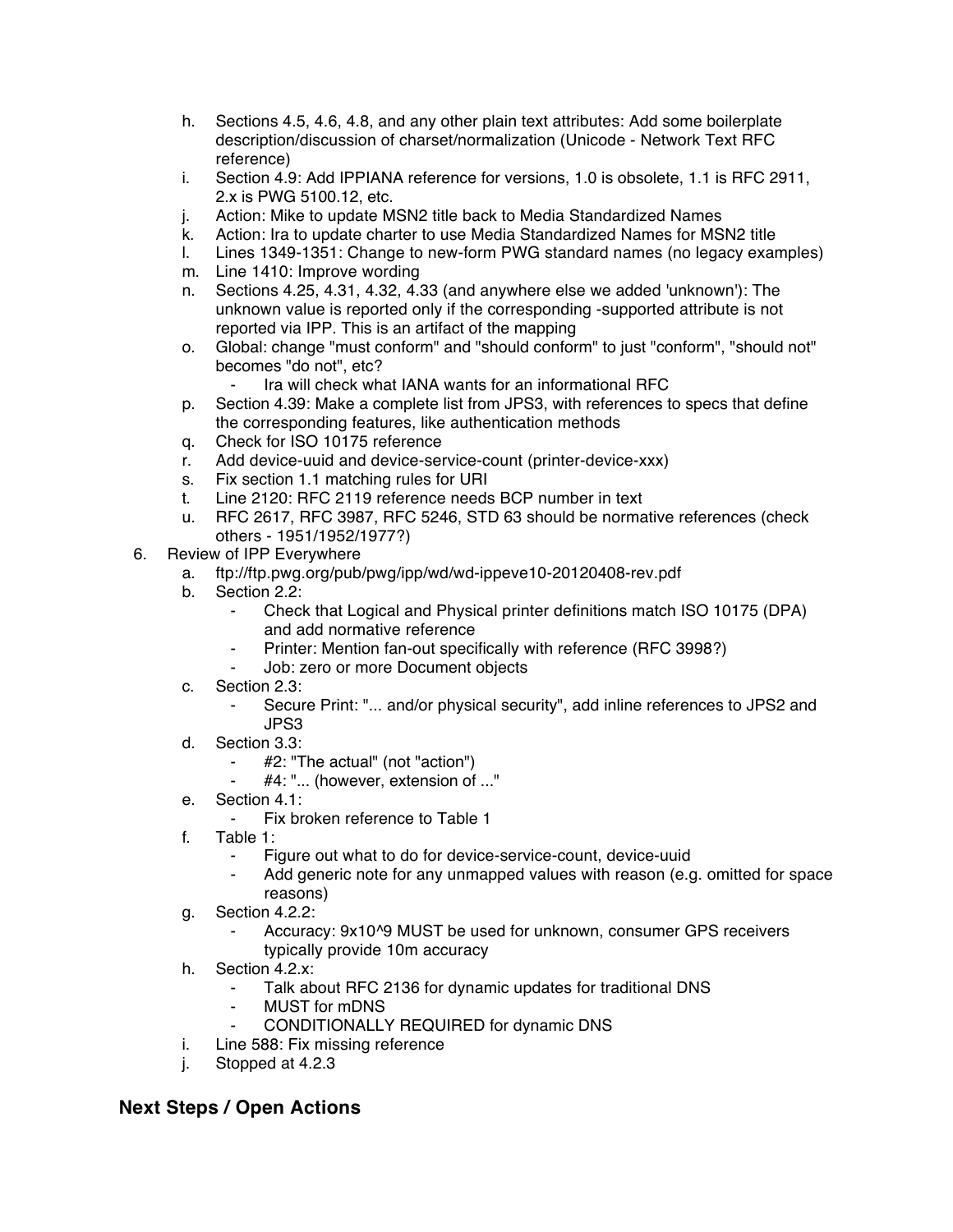- h. Sections 4.5, 4.6, 4.8, and any other plain text attributes: Add some boilerplate description/discussion of charset/normalization (Unicode - Network Text RFC reference)
- i. Section 4.9: Add IPPIANA reference for versions, 1.0 is obsolete, 1.1 is RFC 2911, 2.x is PWG 5100.12, etc.
- j. Action: Mike to update MSN2 title back to Media Standardized Names
- k. Action: Ira to update charter to use Media Standardized Names for MSN2 title
- l. Lines 1349-1351: Change to new-form PWG standard names (no legacy examples)
- m. Line 1410: Improve wording
- n. Sections 4.25, 4.31, 4.32, 4.33 (and anywhere else we added 'unknown'): The unknown value is reported only if the corresponding -supported attribute is not reported via IPP. This is an artifact of the mapping
- o. Global: change "must conform" and "should conform" to just "conform", "should not" becomes "do not", etc?
	- Ira will check what IANA wants for an informational RFC
- p. Section 4.39: Make a complete list from JPS3, with references to specs that define the corresponding features, like authentication methods
- q. Check for ISO 10175 reference
- r. Add device-uuid and device-service-count (printer-device-xxx)
- s. Fix section 1.1 matching rules for URI
- t. Line 2120: RFC 2119 reference needs BCP number in text
- u. RFC 2617, RFC 3987, RFC 5246, STD 63 should be normative references (check others - 1951/1952/1977?)
- 6. Review of IPP Everywhere
	- a. ftp://ftp.pwg.org/pub/pwg/ipp/wd/wd-ippeve10-20120408-rev.pdf
	- b. Section 2.2:
		- ⁃ Check that Logical and Physical printer definitions match ISO 10175 (DPA) and add normative reference
		- Printer: Mention fan-out specifically with reference (RFC 3998?)
		- Job: zero or more Document objects
	- c. Section 2.3:
		- Secure Print: "... and/or physical security", add inline references to JPS2 and JPS3
	- d. Section 3.3:
		- #2: "The actual" (not "action")
		- #4: "... (however, extension of ..."
	- e. Section 4.1:
		- ⁃ Fix broken reference to Table 1
	- f. Table 1:
		- Figure out what to do for device-service-count, device-uuid
		- ⁃ Add generic note for any unmapped values with reason (e.g. omitted for space reasons)
	- g. Section 4.2.2:
		- Accuracy: 9x10^9 MUST be used for unknown, consumer GPS receivers typically provide 10m accuracy
	- h. Section 4.2.x:
		- Talk about RFC 2136 for dynamic updates for traditional DNS
		- **MUST** for mDNS
		- CONDITIONALLY REQUIRED for dynamic DNS
	- i. Line 588: Fix missing reference
	- j. Stopped at 4.2.3

## **Next Steps / Open Actions**